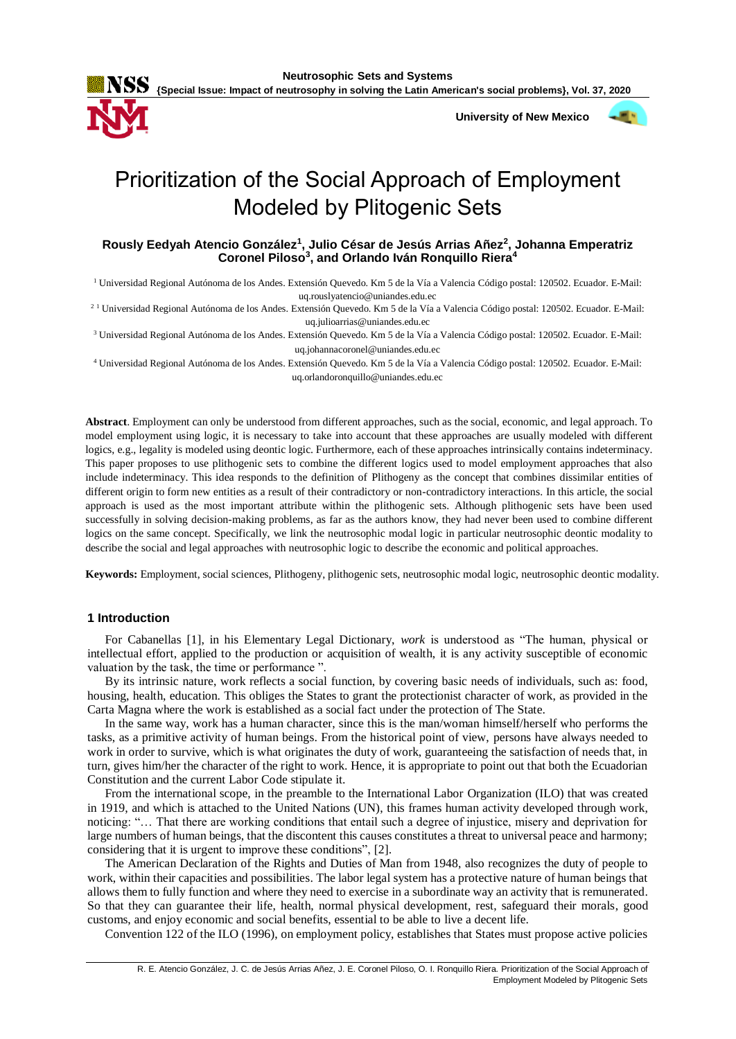

 **University of New Mexico**



# Prioritization of the Social Approach of Employment Modeled by Plitogenic Sets

# **Rously Eedyah Atencio González<sup>1</sup> , Julio César de Jesús Arrias Añez<sup>2</sup> , Johanna Emperatriz Coronel Piloso<sup>3</sup> , and Orlando Iván Ronquillo Riera<sup>4</sup>**

<sup>1</sup> Universidad Regional Autónoma de los Andes. Extensión Quevedo. Km 5 de la Vía a Valencia Código postal: 120502. Ecuador. E-Mail:

uq.rouslyatencio@uniandes.edu.ec

<sup>21</sup> Universidad Regional Autónoma de los Andes. Extensión Quevedo. Km 5 de la Vía a Valencia Código postal: 120502. Ecuador. E-Mail: uq.julioarrias@uniandes.edu.ec

<sup>3</sup> Universidad Regional Autónoma de los Andes. Extensión Quevedo. Km 5 de la Vía a Valencia Código postal: 120502. Ecuador. E-Mail: uq.johannacoronel@uniandes.edu.ec

<sup>4</sup> Universidad Regional Autónoma de los Andes. Extensión Quevedo. Km 5 de la Vía a Valencia Código postal: 120502. Ecuador. E-Mail: uq.orlandoronquillo@uniandes.edu.ec

**Abstract**. Employment can only be understood from different approaches, such as the social, economic, and legal approach. To model employment using logic, it is necessary to take into account that these approaches are usually modeled with different logics, e.g., legality is modeled using deontic logic. Furthermore, each of these approaches intrinsically contains indeterminacy. This paper proposes to use plithogenic sets to combine the different logics used to model employment approaches that also include indeterminacy. This idea responds to the definition of Plithogeny as the concept that combines dissimilar entities of different origin to form new entities as a result of their contradictory or non-contradictory interactions. In this article, the social approach is used as the most important attribute within the plithogenic sets. Although plithogenic sets have been used successfully in solving decision-making problems, as far as the authors know, they had never been used to combine different logics on the same concept. Specifically, we link the neutrosophic modal logic in particular neutrosophic deontic modality to describe the social and legal approaches with neutrosophic logic to describe the economic and political approaches.

**Keywords:** Employment, social sciences, Plithogeny, plithogenic sets, neutrosophic modal logic, neutrosophic deontic modality.

# **1 Introduction**

For Cabanellas [1], in his Elementary Legal Dictionary, *work* is understood as "The human, physical or intellectual effort, applied to the production or acquisition of wealth, it is any activity susceptible of economic valuation by the task, the time or performance ".

By its intrinsic nature, work reflects a social function, by covering basic needs of individuals, such as: food, housing, health, education. This obliges the States to grant the protectionist character of work, as provided in the Carta Magna where the work is established as a social fact under the protection of The State.

In the same way, work has a human character, since this is the man/woman himself/herself who performs the tasks, as a primitive activity of human beings. From the historical point of view, persons have always needed to work in order to survive, which is what originates the duty of work, guaranteeing the satisfaction of needs that, in turn, gives him/her the character of the right to work. Hence, it is appropriate to point out that both the Ecuadorian Constitution and the current Labor Code stipulate it.

From the international scope, in the preamble to the International Labor Organization (ILO) that was created in 1919, and which is attached to the United Nations (UN), this frames human activity developed through work, noticing: "… That there are working conditions that entail such a degree of injustice, misery and deprivation for large numbers of human beings, that the discontent this causes constitutes a threat to universal peace and harmony; considering that it is urgent to improve these conditions", [2].

The American Declaration of the Rights and Duties of Man from 1948, also recognizes the duty of people to work, within their capacities and possibilities. The labor legal system has a protective nature of human beings that allows them to fully function and where they need to exercise in a subordinate way an activity that is remunerated. So that they can guarantee their life, health, normal physical development, rest, safeguard their morals, good customs, and enjoy economic and social benefits, essential to be able to live a decent life.

Convention 122 of the ILO (1996), on employment policy, establishes that States must propose active policies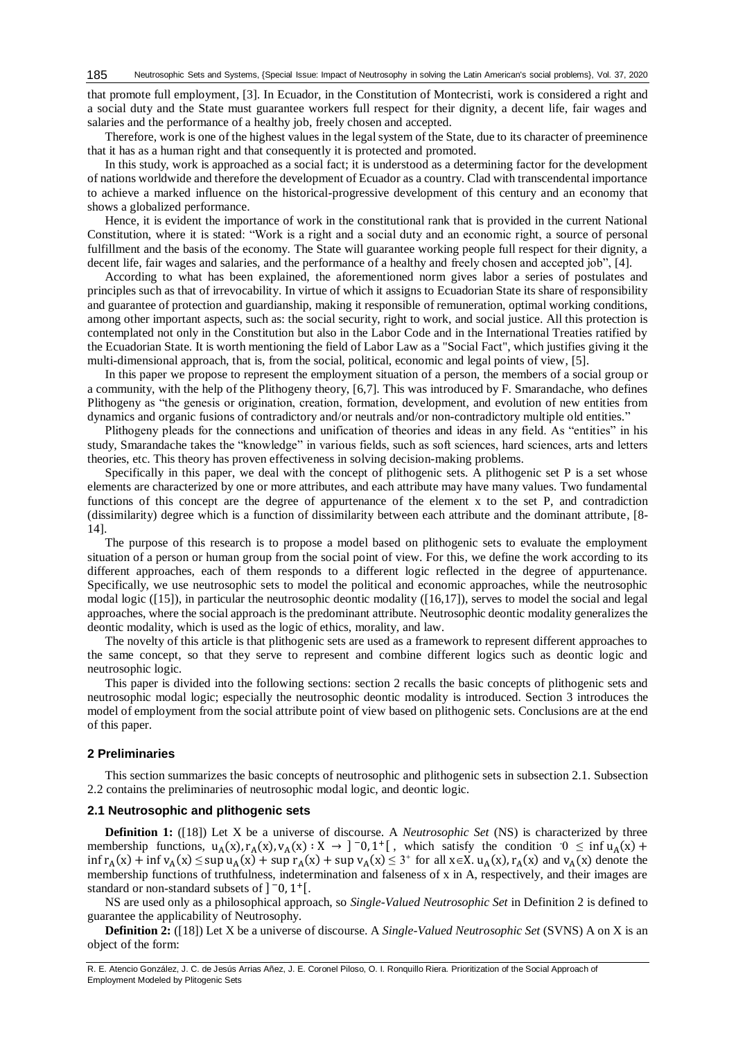that promote full employment, [3]. In Ecuador, in the Constitution of Montecristi, work is considered a right and a social duty and the State must guarantee workers full respect for their dignity, a decent life, fair wages and salaries and the performance of a healthy job, freely chosen and accepted.

Therefore, work is one of the highest values in the legal system of the State, due to its character of preeminence that it has as a human right and that consequently it is protected and promoted.

In this study, work is approached as a social fact; it is understood as a determining factor for the development of nations worldwide and therefore the development of Ecuador as a country. Clad with transcendental importance to achieve a marked influence on the historical-progressive development of this century and an economy that shows a globalized performance.

Hence, it is evident the importance of work in the constitutional rank that is provided in the current National Constitution, where it is stated: "Work is a right and a social duty and an economic right, a source of personal fulfillment and the basis of the economy. The State will guarantee working people full respect for their dignity, a decent life, fair wages and salaries, and the performance of a healthy and freely chosen and accepted job", [4].

According to what has been explained, the aforementioned norm gives labor a series of postulates and principles such as that of irrevocability. In virtue of which it assigns to Ecuadorian State its share of responsibility and guarantee of protection and guardianship, making it responsible of remuneration, optimal working conditions, among other important aspects, such as: the social security, right to work, and social justice. All this protection is contemplated not only in the Constitution but also in the Labor Code and in the International Treaties ratified by the Ecuadorian State. It is worth mentioning the field of Labor Law as a "Social Fact", which justifies giving it the multi-dimensional approach, that is, from the social, political, economic and legal points of view, [5].

In this paper we propose to represent the employment situation of a person, the members of a social group or a community, with the help of the Plithogeny theory, [6,7]. This was introduced by F. Smarandache, who defines Plithogeny as "the genesis or origination, creation, formation, development, and evolution of new entities from dynamics and organic fusions of contradictory and/or neutrals and/or non-contradictory multiple old entities."

Plithogeny pleads for the connections and unification of theories and ideas in any field. As "entities" in his study, Smarandache takes the "knowledge" in various fields, such as soft sciences, hard sciences, arts and letters theories, etc. This theory has proven effectiveness in solving decision-making problems.

Specifically in this paper, we deal with the concept of plithogenic sets. A plithogenic set P is a set whose elements are characterized by one or more attributes, and each attribute may have many values. Two fundamental functions of this concept are the degree of appurtenance of the element x to the set P, and contradiction (dissimilarity) degree which is a function of dissimilarity between each attribute and the dominant attribute, [8- 14].

The purpose of this research is to propose a model based on plithogenic sets to evaluate the employment situation of a person or human group from the social point of view. For this, we define the work according to its different approaches, each of them responds to a different logic reflected in the degree of appurtenance. Specifically, we use neutrosophic sets to model the political and economic approaches, while the neutrosophic modal logic ([15]), in particular the neutrosophic deontic modality ([16,17]), serves to model the social and legal approaches, where the social approach is the predominant attribute. Neutrosophic deontic modality generalizes the deontic modality, which is used as the logic of ethics, morality, and law.

The novelty of this article is that plithogenic sets are used as a framework to represent different approaches to the same concept, so that they serve to represent and combine different logics such as deontic logic and neutrosophic logic.

This paper is divided into the following sections: section 2 recalls the basic concepts of plithogenic sets and neutrosophic modal logic; especially the neutrosophic deontic modality is introduced. Section 3 introduces the model of employment from the social attribute point of view based on plithogenic sets. Conclusions are at the end of this paper.

#### **2 Preliminaries**

This section summarizes the basic concepts of neutrosophic and plithogenic sets in subsection 2.1. Subsection 2.2 contains the preliminaries of neutrosophic modal logic, and deontic logic.

### **2.1 Neutrosophic and plithogenic sets**

**Definition 1:** ([18]) Let X be a universe of discourse. A *Neutrosophic Set* (NS) is characterized by three membership functions,  $u_A(x)$ ,  $r_A(x)$ ,  $v_A(x)$ :  $X \to ]-0, 1^+]$ , which satisfy the condition  $0 \le \inf u_A(x) +$  $\inf r_A(x) + \inf v_A(x) \leq \sup u_A(x) + \sup r_A(x) + \sup v_A(x) \leq 3^+$  for all  $x \in X$ .  $u_A(x)$ ,  $r_A(x)$  and  $v_A(x)$  denote the membership functions of truthfulness, indetermination and falseness of x in A, respectively, and their images are standard or non-standard subsets of  $]$ <sup>-</sup>0, 1<sup>+</sup>[.

NS are used only as a philosophical approach, so *Single-Valued Neutrosophic Set* in Definition 2 is defined to guarantee the applicability of Neutrosophy.

**Definition 2:** ([18]) Let X be a universe of discourse. A *Single-Valued Neutrosophic Set* (SVNS) A on X is an object of the form: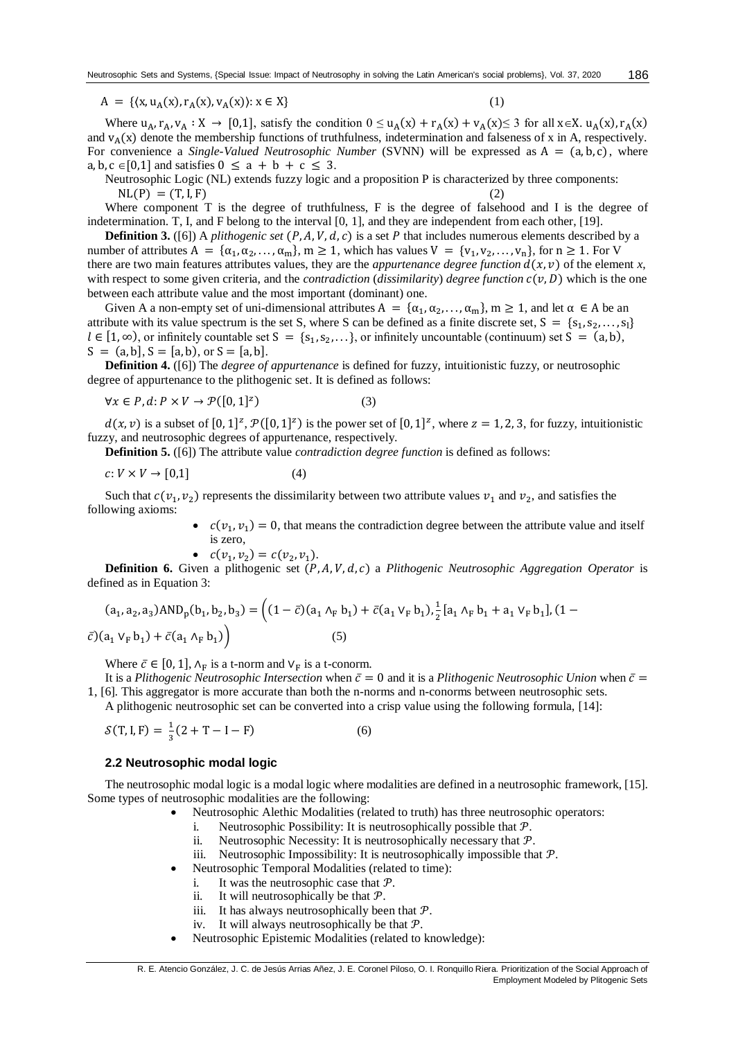$A = \{(x, u_A(x), r_A(x), v_A(x)) : x \in X\}$  (1)

Where  $u_A, r_A, v_A : X \to [0,1]$ , satisfy the condition  $0 \le u_A(x) + r_A(x) + v_A(x) \le 3$  for all  $x \in X$ .  $u_A(x), r_A(x)$ and  $v_A(x)$  denote the membership functions of truthfulness, indetermination and falseness of x in A, respectively. For convenience a *Single-Valued Neutrosophic Number* (SVNN) will be expressed as  $A = (a, b, c)$ , where a, b, c  $\in$  [0,1] and satisfies  $0 \le a + b + c \le 3$ .

Neutrosophic Logic (NL) extends fuzzy logic and a proposition P is characterized by three components:  $\text{NL}(P) = (T, I, F)$  (2)

Where component  $T$  is the degree of truthfulness,  $F$  is the degree of falsehood and  $I$  is the degree of indetermination. T, I, and F belong to the interval [0, 1], and they are independent from each other, [19].

**Definition 3.** ([6]) A *plithogenic set*  $(P, A, V, d, c)$  is a set  $P$  that includes numerous elements described by a number of attributes  $A = {\alpha_1, \alpha_2, ..., \alpha_m}$ ,  $m \ge 1$ , which has values  $V = {v_1, v_2, ..., v_n}$ , for  $n \ge 1$ . For V there are two main features attributes values, they are the *appurtenance degree function*  $d(x, v)$  of the element *x*, with respect to some given criteria, and the *contradiction* (*dissimilarity*) *degree function*  $c(v, D)$  which is the one between each attribute value and the most important (dominant) one.

Given A a non-empty set of uni-dimensional attributes  $A = {\alpha_1, \alpha_2, ..., \alpha_m}$ ,  $m \ge 1$ , and let  $\alpha \in A$  be an attribute with its value spectrum is the set S, where S can be defined as a finite discrete set,  $S = \{s_1, s_2, \ldots, s_l\}$  $l \in [1, \infty)$ , or infinitely countable set  $S = \{s_1, s_2, \ldots\}$ , or infinitely uncountable (continuum) set  $S = (a, b)$ ,  $S = (a, b], S = [a, b),$  or  $S = [a, b].$ 

**Definition 4.** ([6]) The *degree of appurtenance* is defined for fuzzy, intuitionistic fuzzy, or neutrosophic degree of appurtenance to the plithogenic set. It is defined as follows:

$$
\forall x \in P, d: P \times V \to \mathcal{P}([0,1]^z)
$$
 (3)

 $d(x, v)$  is a subset of  $[0, 1]^z$ ,  $\mathcal{P}([0, 1]^z)$  is the power set of  $[0, 1]^z$ , where  $z = 1, 2, 3$ , for fuzzy, intuitionistic fuzzy, and neutrosophic degrees of appurtenance, respectively.

**Definition 5.** ([6]) The attribute value *contradiction degree function* is defined as follows:

$$
c: V \times V \to [0,1] \tag{4}
$$

Such that  $c(v_1, v_2)$  represents the dissimilarity between two attribute values  $v_1$  and  $v_2$ , and satisfies the following axioms:

> •  $c(v_1, v_1) = 0$ , that means the contradiction degree between the attribute value and itself is zero,

$$
\bullet \quad c(v_1,v_2)=c(v_2,v_1).
$$

**Definition 6.** Given a plithogenic set  $(P, A, V, d, c)$  a *Plithogenic Neutrosophic Aggregation Operator* is defined as in Equation 3:

$$
(a_1, a_2, a_3) \text{AND}_p(b_1, b_2, b_3) = \left( (1 - \bar{c})(a_1 \wedge_F b_1) + \bar{c}(a_1 \vee_F b_1), \frac{1}{2} [a_1 \wedge_F b_1 + a_1 \vee_F b_1], (1 - \bar{c})(a_1 \vee_F b_1) + \bar{c}(a_1 \wedge_F b_1) \right)
$$
\n
$$
(5)
$$

Where  $\bar{c} \in [0, 1]$ ,  $\Lambda_F$  is a t-norm and  $V_F$  is a t-conorm.

It is a *Plithogenic Neutrosophic Intersection* when  $\bar{c} = 0$  and it is a *Plithogenic Neutrosophic Union* when  $\bar{c} =$ 1, [6]*.* This aggregator is more accurate than both the n-norms and n-conorms between neutrosophic sets. A plithogenic neutrosophic set can be converted into a crisp value using the following formula, [14]:

$$
S(T, I, F) = \frac{1}{3}(2 + T - I - F)
$$
 (6)

# **2.2 Neutrosophic modal logic**

The neutrosophic modal logic is a modal logic where modalities are defined in a neutrosophic framework, [15]. Some types of neutrosophic modalities are the following:

- Neutrosophic Alethic Modalities (related to truth) has three neutrosophic operators:
- i. Neutrosophic Possibility: It is neutrosophically possible that  $P$ .
- ii. Neutrosophic Necessity: It is neutrosophically necessary that  $P$ .
- iii. Neutrosophic Impossibility: It is neutrosophically impossible that  $P$ .
- Neutrosophic Temporal Modalities (related to time):
	- i. It was the neutrosophic case that  $P$ .
	- ii. It will neutrosophically be that  $P$ .
	- iii. It has always neutrosophically been that  $P$ .
	- iv. It will always neutrosophically be that  $P$ .
- Neutrosophic Epistemic Modalities (related to knowledge):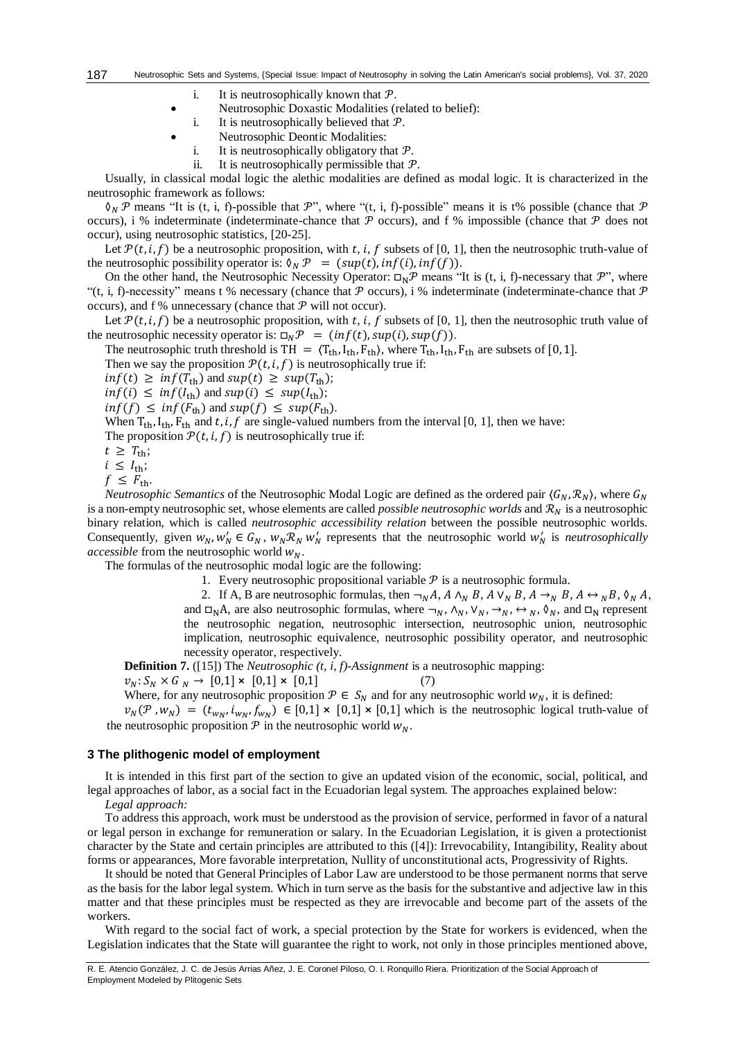- i. It is neutrosophically known that  $P$ .
- Neutrosophic Doxastic Modalities (related to belief):
- i. It is neutrosophically believed that  $P$ .
- Neutrosophic Deontic Modalities:
- i. It is neutrosophically obligatory that  $P$ .
- ii. It is neutrosophically permissible that  $P$ .

Usually, in classical modal logic the alethic modalities are defined as modal logic. It is characterized in the neutrosophic framework as follows:

 $\mathcal{O}_N$  P means "It is (t, i, f)-possible that P", where "(t, i, f)-possible" means it is t% possible (chance that P occurs), i % indeterminate (indeterminate-chance that  $P$  occurs), and f % impossible (chance that  $P$  does not occur), using neutrosophic statistics, [20-25].

Let  $\mathcal{P}(t, i, f)$  be a neutrosophic proposition, with t, i, f subsets of [0, 1], then the neutrosophic truth-value of the neutrosophic possibility operator is:  $\delta_N \mathcal{P} = (sup(t), inf(i), inf(f)).$ 

On the other hand, the Neutrosophic Necessity Operator:  $\Box_N \mathcal{P}$  means "It is (t, i, f)-necessary that  $\mathcal{P}$ ", where "(t, i, f)-necessity" means t % necessary (chance that  $\mathcal P$  occurs), i % indeterminate (indeterminate-chance that  $\mathcal P$ occurs), and f % unnecessary (chance that  $P$  will not occur).

Let  $\mathcal{P}(t, i, f)$  be a neutrosophic proposition, with t, i, f subsets of [0, 1], then the neutrosophic truth value of the neutrosophic necessity operator is:  $\Box_N \mathcal{P} = (inf(t), sup(t), sup(f)).$ 

The neutrosophic truth threshold is TH =  $\langle T_{th}, I_{th}, F_{th}\rangle$ , where  $T_{th}, I_{th}, F_{th}$  are subsets of [0, 1].

Then we say the proposition  $P(t, i, f)$  is neutrosophically true if:

 $inf(t) \ge inf(T_{\text{th}})$  and  $sup(t) \ge sup(T_{\text{th}});$ 

 $inf(i) \leq inf(I_{\text{th}})$  and  $sup(i) \leq sup(I_{\text{th}});$ 

 $inf(f) \leq inf(F_{\text{th}})$  and  $sup(f) \leq sup(F_{\text{th}})$ .

When  $T_{\text{th}}$ ,  $I_{\text{th}}$ ,  $F_{\text{th}}$  and t, i, f are single-valued numbers from the interval [0, 1], then we have:

The proposition  $\mathcal{P}(t, i, f)$  is neutrosophically true if:

 $t \geq T_{\text{th}}$ ;

 $i \leq I_{\text{th}}$ ;

 $f \leq F_{\text{th}}$ .

*Neutrosophic Semantics* of the Neutrosophic Modal Logic are defined as the ordered pair  $\langle G_N, \mathcal{R}_N \rangle$ , where  $G_N$ is a non-empty neutrosophic set, whose elements are called *possible neutrosophic worlds* and  $\mathcal{R}_N$  is a neutrosophic binary relation, which is called *neutrosophic accessibility relation* between the possible neutrosophic worlds. Consequently, given  $w_N$ ,  $w'_N \in G_N$ ,  $w_N \mathcal{R}_N w'_N$  represents that the neutrosophic world  $w'_N$  is *neutrosophically accessible* from the neutrosophic world  $W_N$ .

The formulas of the neutrosophic modal logic are the following:

1. Every neutrosophic propositional variable  $P$  is a neutrosophic formula.

2. If A, B are neutrosophic formulas, then  $\neg_N A$ ,  $A \wedge_N B$ ,  $A \vee_N B$ ,  $A \rightarrow_N B$ ,  $A \leftrightarrow_N B$ ,  $\Diamond_N A$ , and  $\square_N A$ , are also neutrosophic formulas, where  $\neg_N$ ,  $\wedge_N$ ,  $\vee_N$ ,  $\neg_N$ ,  $\Diamond_N$ ,  $\Diamond_N$ , and  $\square_N$  represent the neutrosophic negation, neutrosophic intersection, neutrosophic union, neutrosophic implication, neutrosophic equivalence, neutrosophic possibility operator, and neutrosophic necessity operator, respectively.

**Definition 7.** ([15]) The *Neutrosophic (t, i, f)-Assignment* is a neutrosophic mapping:

$$
v_N: S_N \times G_N \to [0,1] \times [0,1] \times [0,1] \tag{7}
$$

Where, for any neutrosophic proposition  $\mathcal{P} \in S_N$  and for any neutrosophic world  $w_N$ , it is defined:

 $v_N(\mathcal{P}, w_N) = (t_{w_N}, t_{w_N}, f_{w_N}) \in [0,1] \times [0,1] \times [0,1]$  which is the neutrosophic logical truth-value of the neutrosophic proposition  $\mathcal P$  in the neutrosophic world  $w_N$ .

#### **3 The plithogenic model of employment**

It is intended in this first part of the section to give an updated vision of the economic, social, political, and legal approaches of labor, as a social fact in the Ecuadorian legal system. The approaches explained below:

*Legal approach:*

To address this approach, work must be understood as the provision of service, performed in favor of a natural or legal person in exchange for remuneration or salary. In the Ecuadorian Legislation, it is given a protectionist character by the State and certain principles are attributed to this ([4]): Irrevocability, Intangibility, Reality about forms or appearances, More favorable interpretation, Nullity of unconstitutional acts, Progressivity of Rights.

It should be noted that General Principles of Labor Law are understood to be those permanent norms that serve as the basis for the labor legal system. Which in turn serve as the basis for the substantive and adjective law in this matter and that these principles must be respected as they are irrevocable and become part of the assets of the workers.

With regard to the social fact of work, a special protection by the State for workers is evidenced, when the Legislation indicates that the State will guarantee the right to work, not only in those principles mentioned above,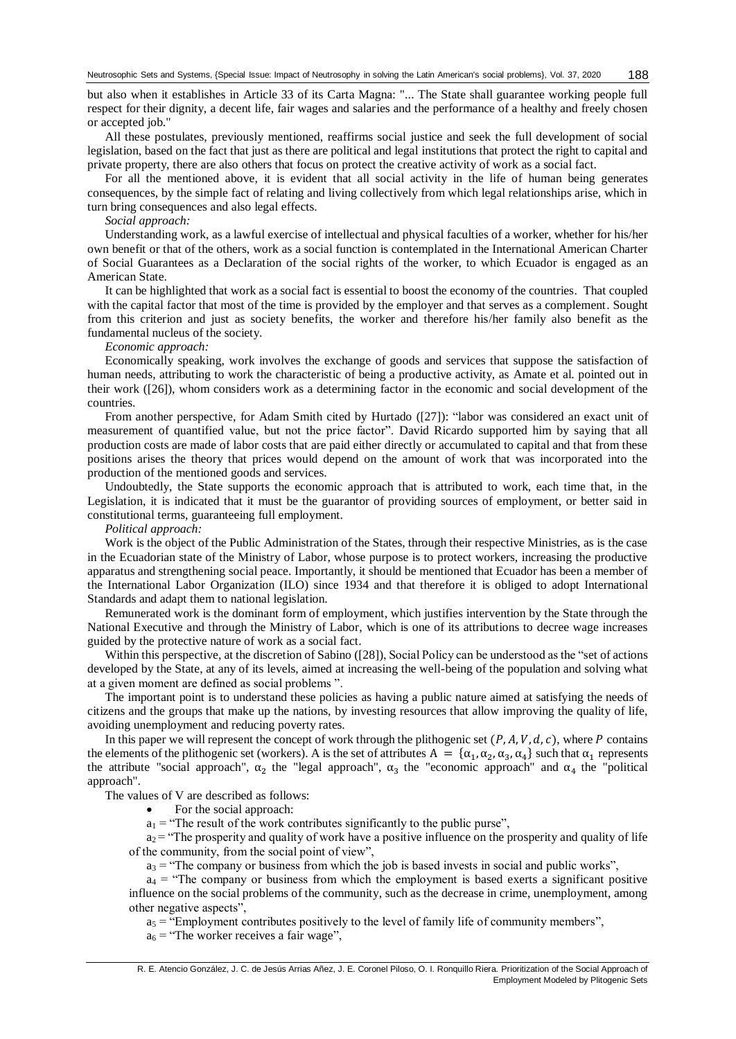but also when it establishes in Article 33 of its Carta Magna: "... The State shall guarantee working people full respect for their dignity, a decent life, fair wages and salaries and the performance of a healthy and freely chosen or accepted job."

All these postulates, previously mentioned, reaffirms social justice and seek the full development of social legislation, based on the fact that just as there are political and legal institutions that protect the right to capital and private property, there are also others that focus on protect the creative activity of work as a social fact.

For all the mentioned above, it is evident that all social activity in the life of human being generates consequences, by the simple fact of relating and living collectively from which legal relationships arise, which in turn bring consequences and also legal effects.

#### *Social approach:*

Understanding work, as a lawful exercise of intellectual and physical faculties of a worker, whether for his/her own benefit or that of the others, work as a social function is contemplated in the International American Charter of Social Guarantees as a Declaration of the social rights of the worker, to which Ecuador is engaged as an American State.

It can be highlighted that work as a social fact is essential to boost the economy of the countries. That coupled with the capital factor that most of the time is provided by the employer and that serves as a complement. Sought from this criterion and just as society benefits, the worker and therefore his/her family also benefit as the fundamental nucleus of the society.

# *Economic approach:*

Economically speaking, work involves the exchange of goods and services that suppose the satisfaction of human needs, attributing to work the characteristic of being a productive activity, as Amate et al. pointed out in their work ([26]), whom considers work as a determining factor in the economic and social development of the countries.

From another perspective, for Adam Smith cited by Hurtado ([27]): "labor was considered an exact unit of measurement of quantified value, but not the price factor". David Ricardo supported him by saying that all production costs are made of labor costs that are paid either directly or accumulated to capital and that from these positions arises the theory that prices would depend on the amount of work that was incorporated into the production of the mentioned goods and services.

Undoubtedly, the State supports the economic approach that is attributed to work, each time that, in the Legislation, it is indicated that it must be the guarantor of providing sources of employment, or better said in constitutional terms, guaranteeing full employment.

*Political approach:*

Work is the object of the Public Administration of the States, through their respective Ministries, as is the case in the Ecuadorian state of the Ministry of Labor, whose purpose is to protect workers, increasing the productive apparatus and strengthening social peace. Importantly, it should be mentioned that Ecuador has been a member of the International Labor Organization (ILO) since 1934 and that therefore it is obliged to adopt International Standards and adapt them to national legislation.

Remunerated work is the dominant form of employment, which justifies intervention by the State through the National Executive and through the Ministry of Labor, which is one of its attributions to decree wage increases guided by the protective nature of work as a social fact.

Within this perspective, at the discretion of Sabino ([28]), Social Policy can be understood as the "set of actions developed by the State, at any of its levels, aimed at increasing the well-being of the population and solving what at a given moment are defined as social problems ".

The important point is to understand these policies as having a public nature aimed at satisfying the needs of citizens and the groups that make up the nations, by investing resources that allow improving the quality of life, avoiding unemployment and reducing poverty rates.

In this paper we will represent the concept of work through the plithogenic set  $(P, A, V, d, c)$ , where P contains the elements of the plithogenic set (workers). A is the set of attributes  $A = \{\alpha_1, \alpha_2, \alpha_3, \alpha_4\}$  such that  $\alpha_1$  represents the attribute "social approach",  $\alpha_2$  the "legal approach",  $\alpha_3$  the "economic approach" and  $\alpha_4$  the "political approach".

The values of V are described as follows:

- For the social approach:
- $a_1$  = "The result of the work contributes significantly to the public purse",

 $a_2$  = "The prosperity and quality of work have a positive influence on the prosperity and quality of life of the community, from the social point of view",

 $a_3$  = "The company or business from which the job is based invests in social and public works",

 $a_4$  = "The company or business from which the employment is based exerts a significant positive influence on the social problems of the community, such as the decrease in crime, unemployment, among other negative aspects",

 $a_5$  = "Employment contributes positively to the level of family life of community members",

 $a_6$  = "The worker receives a fair wage",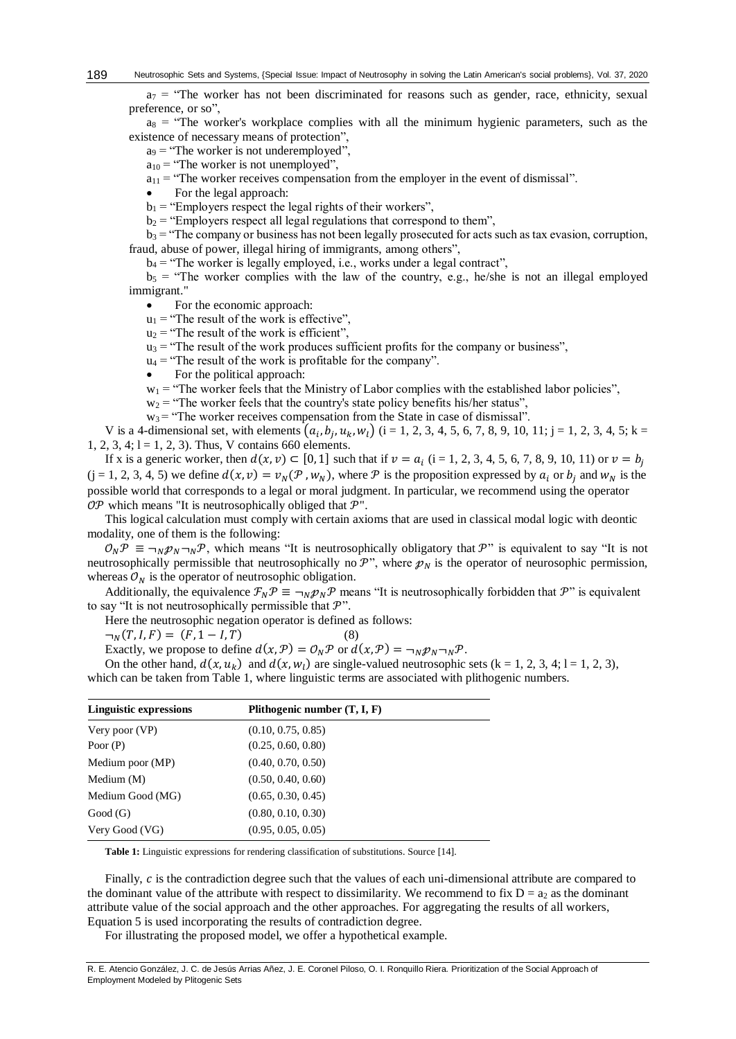$a_7$  = "The worker has not been discriminated for reasons such as gender, race, ethnicity, sexual preference, or so",

 $a_8$  = "The worker's workplace complies with all the minimum hygienic parameters, such as the existence of necessary means of protection",

 $a_9$  = "The worker is not underemployed",

 $a_{10}$  = "The worker is not unemployed",

 $a_{11}$  = "The worker receives compensation from the employer in the event of dismissal".

For the legal approach:

 $b_1$  = "Employers respect the legal rights of their workers",

 $b_2$  = "Employers respect all legal regulations that correspond to them",

 $b_3$  = "The company or business has not been legally prosecuted for acts such as tax evasion, corruption, fraud, abuse of power, illegal hiring of immigrants, among others",

 $b_4$  = "The worker is legally employed, i.e., works under a legal contract",

 $b_5$  = "The worker complies with the law of the country, e.g., he/she is not an illegal employed immigrant."

For the economic approach:

- $u_1$  = "The result of the work is effective",
- $u_2$  = "The result of the work is efficient",
- $u_3$  = "The result of the work produces sufficient profits for the company or business",

 $u_4$  = "The result of the work is profitable for the company".

For the political approach:

 $w_1$  = "The worker feels that the Ministry of Labor complies with the established labor policies",

 $w_2$  = "The worker feels that the country's state policy benefits his/her status",

 $w_3$  = "The worker receives compensation from the State in case of dismissal".

V is a 4-dimensional set, with elements  $(a_i, b_j, u_k, w_l)$  (i = 1, 2, 3, 4, 5, 6, 7, 8, 9, 10, 11; j = 1, 2, 3, 4, 5; k = 1, 2, 3, 4;  $1 = 1, 2, 3$ ). Thus, V contains 660 elements.

If x is a generic worker, then  $d(x, v) \subset [0, 1]$  such that if  $v = a_i$  (i = 1, 2, 3, 4, 5, 6, 7, 8, 9, 10, 11) or  $v = b_j$  $(j = 1, 2, 3, 4, 5)$  we define  $d(x, v) = v_N(\mathcal{P}, w_N)$ , where  $\mathcal P$  is the proposition expressed by  $a_i$  or  $b_i$  and  $w_N$  is the possible world that corresponds to a legal or moral judgment. In particular, we recommend using the operator  $OP$  which means "It is neutrosophically obliged that  $P$ ".

This logical calculation must comply with certain axioms that are used in classical modal logic with deontic modality, one of them is the following:

 $\mathcal{O}_N \mathcal{P} \equiv \neg_N \mathcal{P}_N \neg_N \mathcal{P}$ , which means "It is neutrosophically obligatory that  $\mathcal{P}$ " is equivalent to say "It is not neutrosophically permissible that neutrosophically no  $\mathcal{P}$ ", where  $p_N$  is the operator of neurosophic permission, whereas  $\mathcal{O}_N$  is the operator of neutrosophic obligation.

Additionally, the equivalence  $\mathcal{F}_N \mathcal{P} \equiv \neg_N \mathcal{P}_N \mathcal{P}$  means "It is neutrosophically forbidden that  $\mathcal{P}$ " is equivalent to say "It is not neutrosophically permissible that  $\mathcal{P}$ ".

Here the neutrosophic negation operator is defined as follows:

 $\neg_N(T, I, F) = (F, 1 - I, T)$ (8)

Exactly, we propose to define  $d(x, \mathcal{P}) = \mathcal{O}_N \mathcal{P}$  or  $d(x, \mathcal{P}) = \neg_N \mathcal{P}_N \neg_N \mathcal{P}$ .

On the other hand,  $d(x, u_k)$  and  $d(x, w_l)$  are single-valued neutrosophic sets (k = 1, 2, 3, 4; 1 = 1, 2, 3), which can be taken from Table 1, where linguistic terms are associated with plithogenic numbers.

| <b>Linguistic expressions</b> | Plithogenic number $(T, I, F)$ |  |
|-------------------------------|--------------------------------|--|
| Very poor (VP)                | (0.10, 0.75, 0.85)             |  |
| Poor $(P)$                    | (0.25, 0.60, 0.80)             |  |
| Medium poor (MP)              | (0.40, 0.70, 0.50)             |  |
| Medium $(M)$                  | (0.50, 0.40, 0.60)             |  |
| Medium Good (MG)              | (0.65, 0.30, 0.45)             |  |
| Good(G)                       | (0.80, 0.10, 0.30)             |  |
| Very Good (VG)                | (0.95, 0.05, 0.05)             |  |

**Table 1:** Linguistic expressions for rendering classification of substitutions. Source [14].

Finally,  $c$  is the contradiction degree such that the values of each uni-dimensional attribute are compared to the dominant value of the attribute with respect to dissimilarity. We recommend to fix  $D = a_2$  as the dominant attribute value of the social approach and the other approaches. For aggregating the results of all workers, Equation 5 is used incorporating the results of contradiction degree.

For illustrating the proposed model, we offer a hypothetical example.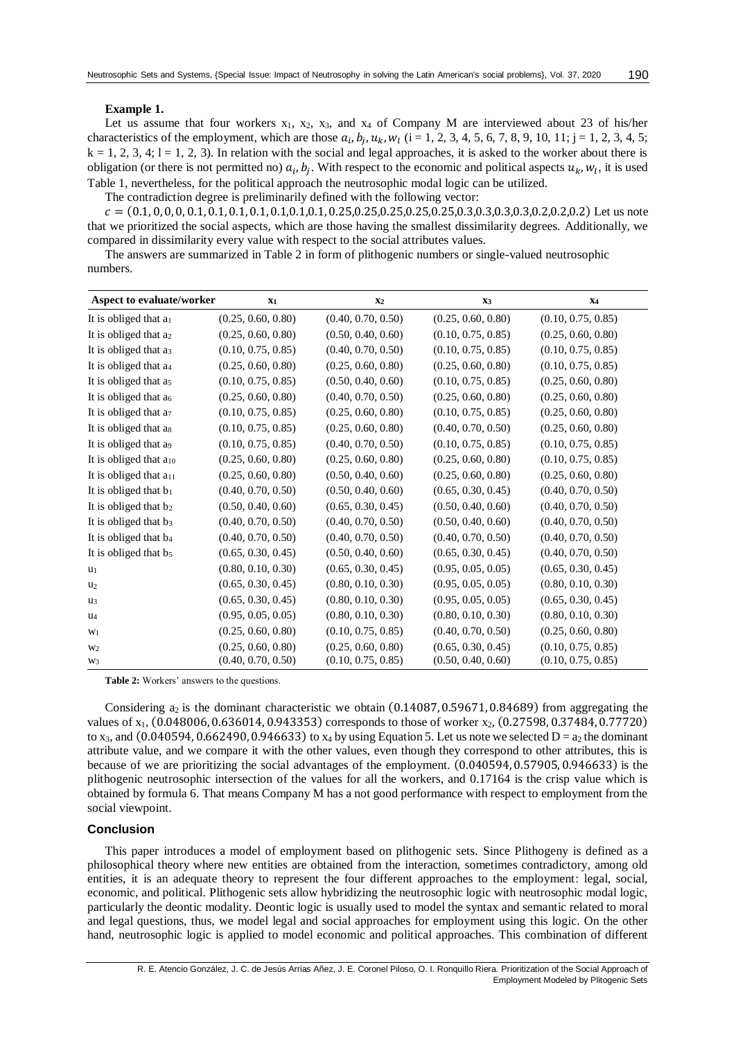#### **Example 1.**

Let us assume that four workers  $x_1$ ,  $x_2$ ,  $x_3$ , and  $x_4$  of Company M are interviewed about 23 of his/her characteristics of the employment, which are those  $a_i, b_j, u_k, w_l$  (i = 1, 2, 3, 4, 5, 6, 7, 8, 9, 10, 11; j = 1, 2, 3, 4, 5;  $k = 1, 2, 3, 4; l = 1, 2, 3$ . In relation with the social and legal approaches, it is asked to the worker about there is obligation (or there is not permitted no)  $a_i, b_j$ . With respect to the economic and political aspects  $u_k, w_l$ , it is used Table 1, nevertheless, for the political approach the neutrosophic modal logic can be utilized.

The contradiction degree is preliminarily defined with the following vector:

 = (0.1, 0, 0, 0, 0.1, 0.1, 0.1, 0.1, 0.1,0.1,0.1, 0.25,0.25,0.25,0.25,0.25,0.3,0.3,0.3,0.3,0.2,0.2,0.2) Let us note that we prioritized the social aspects, which are those having the smallest dissimilarity degrees. Additionally, we compared in dissimilarity every value with respect to the social attributes values.

The answers are summarized in Table 2 in form of plithogenic numbers or single-valued neutrosophic numbers.

| Aspect to evaluate/worker          | $\mathbf{x}_1$     | X <sub>2</sub>     | $X_3$              | <b>X4</b>          |
|------------------------------------|--------------------|--------------------|--------------------|--------------------|
| It is obliged that $a_1$           | (0.25, 0.60, 0.80) | (0.40, 0.70, 0.50) | (0.25, 0.60, 0.80) | (0.10, 0.75, 0.85) |
| It is obliged that a <sub>2</sub>  | (0.25, 0.60, 0.80) | (0.50, 0.40, 0.60) | (0.10, 0.75, 0.85) | (0.25, 0.60, 0.80) |
| It is obliged that a <sub>3</sub>  | (0.10, 0.75, 0.85) | (0.40, 0.70, 0.50) | (0.10, 0.75, 0.85) | (0.10, 0.75, 0.85) |
| It is obliged that a4              | (0.25, 0.60, 0.80) | (0.25, 0.60, 0.80) | (0.25, 0.60, 0.80) | (0.10, 0.75, 0.85) |
| It is obliged that a <sub>5</sub>  | (0.10, 0.75, 0.85) | (0.50, 0.40, 0.60) | (0.10, 0.75, 0.85) | (0.25, 0.60, 0.80) |
| It is obliged that a <sub>6</sub>  | (0.25, 0.60, 0.80) | (0.40, 0.70, 0.50) | (0.25, 0.60, 0.80) | (0.25, 0.60, 0.80) |
| It is obliged that $a_7$           | (0.10, 0.75, 0.85) | (0.25, 0.60, 0.80) | (0.10, 0.75, 0.85) | (0.25, 0.60, 0.80) |
| It is obliged that as              | (0.10, 0.75, 0.85) | (0.25, 0.60, 0.80) | (0.40, 0.70, 0.50) | (0.25, 0.60, 0.80) |
| It is obliged that a <sub>9</sub>  | (0.10, 0.75, 0.85) | (0.40, 0.70, 0.50) | (0.10, 0.75, 0.85) | (0.10, 0.75, 0.85) |
| It is obliged that a10             | (0.25, 0.60, 0.80) | (0.25, 0.60, 0.80) | (0.25, 0.60, 0.80) | (0.10, 0.75, 0.85) |
| It is obliged that a <sub>11</sub> | (0.25, 0.60, 0.80) | (0.50, 0.40, 0.60) | (0.25, 0.60, 0.80) | (0.25, 0.60, 0.80) |
| It is obliged that b <sub>1</sub>  | (0.40, 0.70, 0.50) | (0.50, 0.40, 0.60) | (0.65, 0.30, 0.45) | (0.40, 0.70, 0.50) |
| It is obliged that b <sub>2</sub>  | (0.50, 0.40, 0.60) | (0.65, 0.30, 0.45) | (0.50, 0.40, 0.60) | (0.40, 0.70, 0.50) |
| It is obliged that b <sub>3</sub>  | (0.40, 0.70, 0.50) | (0.40, 0.70, 0.50) | (0.50, 0.40, 0.60) | (0.40, 0.70, 0.50) |
| It is obliged that b <sub>4</sub>  | (0.40, 0.70, 0.50) | (0.40, 0.70, 0.50) | (0.40, 0.70, 0.50) | (0.40, 0.70, 0.50) |
| It is obliged that b5              | (0.65, 0.30, 0.45) | (0.50, 0.40, 0.60) | (0.65, 0.30, 0.45) | (0.40, 0.70, 0.50) |
| $u_1$                              | (0.80, 0.10, 0.30) | (0.65, 0.30, 0.45) | (0.95, 0.05, 0.05) | (0.65, 0.30, 0.45) |
| u <sub>2</sub>                     | (0.65, 0.30, 0.45) | (0.80, 0.10, 0.30) | (0.95, 0.05, 0.05) | (0.80, 0.10, 0.30) |
| $u_3$                              | (0.65, 0.30, 0.45) | (0.80, 0.10, 0.30) | (0.95, 0.05, 0.05) | (0.65, 0.30, 0.45) |
| $\mathbf{u}_4$                     | (0.95, 0.05, 0.05) | (0.80, 0.10, 0.30) | (0.80, 0.10, 0.30) | (0.80, 0.10, 0.30) |
| W <sub>1</sub>                     | (0.25, 0.60, 0.80) | (0.10, 0.75, 0.85) | (0.40, 0.70, 0.50) | (0.25, 0.60, 0.80) |
| W <sub>2</sub>                     | (0.25, 0.60, 0.80) | (0.25, 0.60, 0.80) | (0.65, 0.30, 0.45) | (0.10, 0.75, 0.85) |
| W <sub>3</sub>                     | (0.40, 0.70, 0.50) | (0.10, 0.75, 0.85) | (0.50, 0.40, 0.60) | (0.10, 0.75, 0.85) |

**Table 2:** Workers' answers to the questions.

Considering  $a_2$  is the dominant characteristic we obtain  $(0.14087, 0.59671, 0.84689)$  from aggregating the values of  $x_1$ ,  $(0.048006, 0.636014, 0.943353)$  corresponds to those of worker  $x_2$ ,  $(0.27598, 0.37484, 0.77720)$ to x<sub>3</sub>, and (0.040594, 0.662490, 0.946633) to x<sub>4</sub> by using Equation 5. Let us note we selected  $D = a_2$  the dominant attribute value, and we compare it with the other values, even though they correspond to other attributes, this is because of we are prioritizing the social advantages of the employment. (0.040594, 0.57905, 0.946633) is the plithogenic neutrosophic intersection of the values for all the workers, and 0.17164 is the crisp value which is obtained by formula 6. That means Company M has a not good performance with respect to employment from the social viewpoint.

# **Conclusion**

This paper introduces a model of employment based on plithogenic sets. Since Plithogeny is defined as a philosophical theory where new entities are obtained from the interaction, sometimes contradictory, among old entities, it is an adequate theory to represent the four different approaches to the employment: legal, social, economic, and political. Plithogenic sets allow hybridizing the neutrosophic logic with neutrosophic modal logic, particularly the deontic modality. Deontic logic is usually used to model the syntax and semantic related to moral and legal questions, thus, we model legal and social approaches for employment using this logic. On the other hand, neutrosophic logic is applied to model economic and political approaches. This combination of different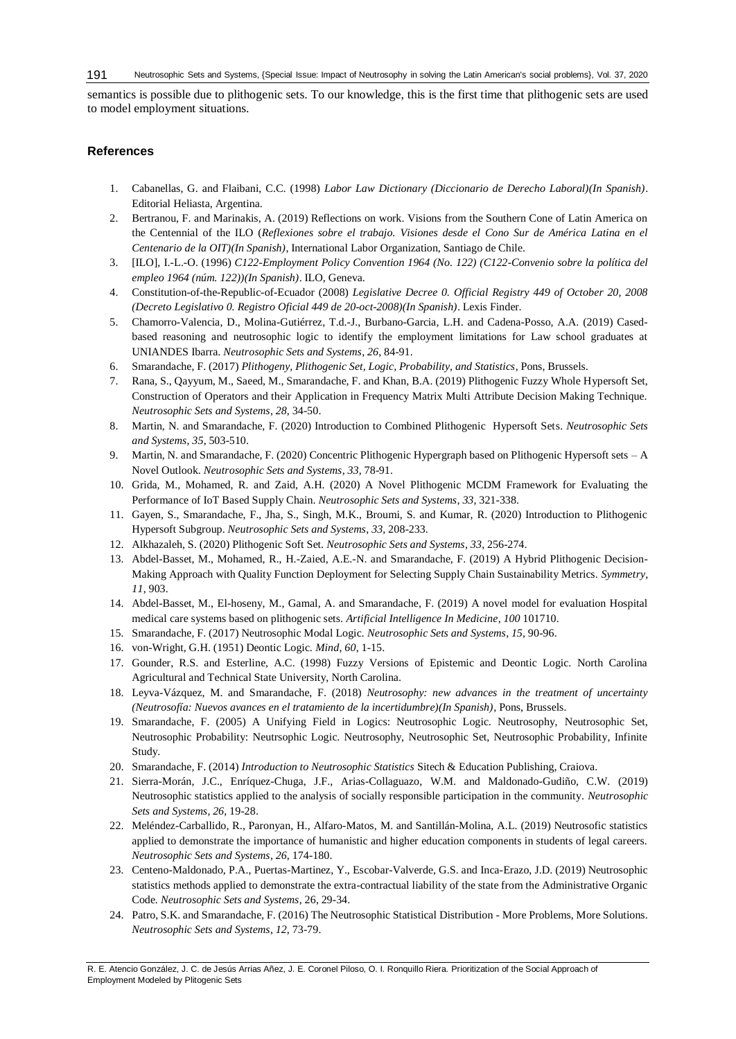semantics is possible due to plithogenic sets. To our knowledge, this is the first time that plithogenic sets are used to model employment situations.

# **References**

- 1. Cabanellas, G. and Flaibani, C.C. (1998) *Labor Law Dictionary (Diccionario de Derecho Laboral)(In Spanish)*. Editorial Heliasta, Argentina.
- 2. Bertranou, F. and Marinakis, A. (2019) Reflections on work. Visions from the Southern Cone of Latin America on the Centennial of the ILO (*Reflexiones sobre el trabajo. Visiones desde el Cono Sur de América Latina en el Centenario de la OIT)(In Spanish)*, International Labor Organization, Santiago de Chile.
- 3. [ILO], I.-L.-O. (1996) *C122-Employment Policy Convention 1964 (No. 122) (C122-Convenio sobre la política del empleo 1964 (núm. 122))(In Spanish)*. ILO, Geneva.
- 4. Constitution-of-the-Republic-of-Ecuador (2008) *Legislative Decree 0. Official Registry 449 of October 20, 2008 (Decreto Legislativo 0. Registro Oficial 449 de 20-oct-2008)(In Spanish)*. Lexis Finder.
- 5. Chamorro-Valencia, D., Molina-Gutiérrez, T.d.-J., Burbano-Garcia, L.H. and Cadena-Posso, A.A. (2019) Casedbased reasoning and neutrosophic logic to identify the employment limitations for Law school graduates at UNIANDES Ibarra. *Neutrosophic Sets and Systems*, *26*, 84-91.
- 6. Smarandache, F. (2017) *Plithogeny, Plithogenic Set, Logic, Probability, and Statistics*, Pons, Brussels.
- 7. Rana, S., Qayyum, M., Saeed, M., Smarandache, F. and Khan, B.A. (2019) Plithogenic Fuzzy Whole Hypersoft Set, Construction of Operators and their Application in Frequency Matrix Multi Attribute Decision Making Technique. *Neutrosophic Sets and Systems*, *28*, 34-50.
- 8. Martin, N. and Smarandache, F. (2020) Introduction to Combined Plithogenic Hypersoft Sets. *Neutrosophic Sets and Systems*, *35*, 503-510.
- 9. Martin, N. and Smarandache, F. (2020) Concentric Plithogenic Hypergraph based on Plithogenic Hypersoft sets A Novel Outlook. *Neutrosophic Sets and Systems*, *33*, 78-91.
- 10. Grida, M., Mohamed, R. and Zaid, A.H. (2020) A Novel Plithogenic MCDM Framework for Evaluating the Performance of IoT Based Supply Chain. *Neutrosophic Sets and Systems*, *33*, 321-338.
- 11. Gayen, S., Smarandache, F., Jha, S., Singh, M.K., Broumi, S. and Kumar, R. (2020) Introduction to Plithogenic Hypersoft Subgroup. *Neutrosophic Sets and Systems*, *33*, 208-233.
- 12. Alkhazaleh, S. (2020) Plithogenic Soft Set. *Neutrosophic Sets and Systems*, *33*, 256-274.
- 13. Abdel-Basset, M., Mohamed, R., H.-Zaied, A.E.-N. and Smarandache, F. (2019) A Hybrid Plithogenic Decision-Making Approach with Quality Function Deployment for Selecting Supply Chain Sustainability Metrics. *Symmetry*, *11*, 903.
- 14. Abdel-Basset, M., El-hoseny, M., Gamal, A. and Smarandache, F. (2019) A novel model for evaluation Hospital medical care systems based on plithogenic sets. *Artificial Intelligence In Medicine*, *100* 101710.
- 15. Smarandache, F. (2017) Neutrosophic Modal Logic. *Neutrosophic Sets and Systems*, *15*, 90-96.
- 16. von-Wright, G.H. (1951) Deontic Logic. *Mind*, *60*, 1-15.
- 17. Gounder, R.S. and Esterline, A.C. (1998) Fuzzy Versions of Epistemic and Deontic Logic. North Carolina Agricultural and Technical State University, North Carolina.
- 18. Leyva-Vázquez, M. and Smarandache, F. (2018) *Neutrosophy: new advances in the treatment of uncertainty (Neutrosofía: Nuevos avances en el tratamiento de la incertidumbre)(In Spanish)*, Pons, Brussels.
- 19. Smarandache, F. (2005) A Unifying Field in Logics: Neutrosophic Logic. Neutrosophy, Neutrosophic Set, Neutrosophic Probability: Neutrsophic Logic. Neutrosophy, Neutrosophic Set, Neutrosophic Probability, Infinite Study.
- 20. Smarandache, F. (2014) *Introduction to Neutrosophic Statistics* Sitech & Education Publishing, Craiova.
- 21. Sierra-Morán, J.C., Enríquez-Chuga, J.F., Arias-Collaguazo, W.M. and Maldonado-Gudiño, C.W. (2019) Neutrosophic statistics applied to the analysis of socially responsible participation in the community. *Neutrosophic Sets and Systems*, *26*, 19-28.
- 22. Meléndez-Carballido, R., Paronyan, H., Alfaro-Matos, M. and Santillán-Molina, A.L. (2019) Neutrosofic statistics applied to demonstrate the importance of humanistic and higher education components in students of legal careers. *Neutrosophic Sets and Systems*, *26*, 174-180.
- 23. Centeno-Maldonado, P.A., Puertas-Martinez, Y., Escobar-Valverde, G.S. and Inca-Erazo, J.D. (2019) Neutrosophic statistics methods applied to demonstrate the extra-contractual liability of the state from the Administrative Organic Code. *Neutrosophic Sets and Systems*, 26, 29-34.
- 24. Patro, S.K. and Smarandache, F. (2016) The Neutrosophic Statistical Distribution More Problems, More Solutions. *Neutrosophic Sets and Systems*, *12*, 73-79.